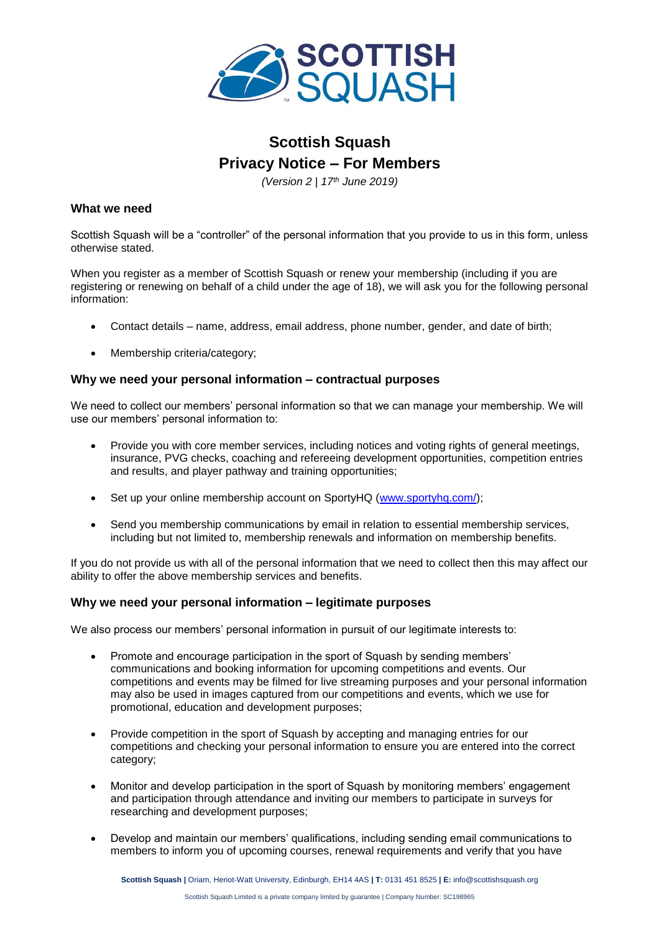

# **Scottish Squash Privacy Notice – For Members**

*(Version 2 | 17th June 2019)*

### **What we need**

Scottish Squash will be a "controller" of the personal information that you provide to us in this form, unless otherwise stated.

When you register as a member of Scottish Squash or renew your membership (including if you are registering or renewing on behalf of a child under the age of 18), we will ask you for the following personal information:

- Contact details name, address, email address, phone number, gender, and date of birth;
- Membership criteria/category;

#### **Why we need your personal information – contractual purposes**

We need to collect our members' personal information so that we can manage your membership. We will use our members' personal information to:

- Provide you with core member services, including notices and voting rights of general meetings, insurance, PVG checks, coaching and refereeing development opportunities, competition entries and results, and player pathway and training opportunities;
- Set up your online membership account on SportyHQ [\(www.sportyhq.com/\)](http://www.sportyhq.com/);
- Send you membership communications by email in relation to essential membership services, including but not limited to, membership renewals and information on membership benefits.

If you do not provide us with all of the personal information that we need to collect then this may affect our ability to offer the above membership services and benefits.

#### **Why we need your personal information – legitimate purposes**

We also process our members' personal information in pursuit of our legitimate interests to:

- Promote and encourage participation in the sport of Squash by sending members' communications and booking information for upcoming competitions and events. Our competitions and events may be filmed for live streaming purposes and your personal information may also be used in images captured from our competitions and events, which we use for promotional, education and development purposes;
- Provide competition in the sport of Squash by accepting and managing entries for our competitions and checking your personal information to ensure you are entered into the correct category;
- Monitor and develop participation in the sport of Squash by monitoring members' engagement and participation through attendance and inviting our members to participate in surveys for researching and development purposes;
- Develop and maintain our members' qualifications, including sending email communications to members to inform you of upcoming courses, renewal requirements and verify that you have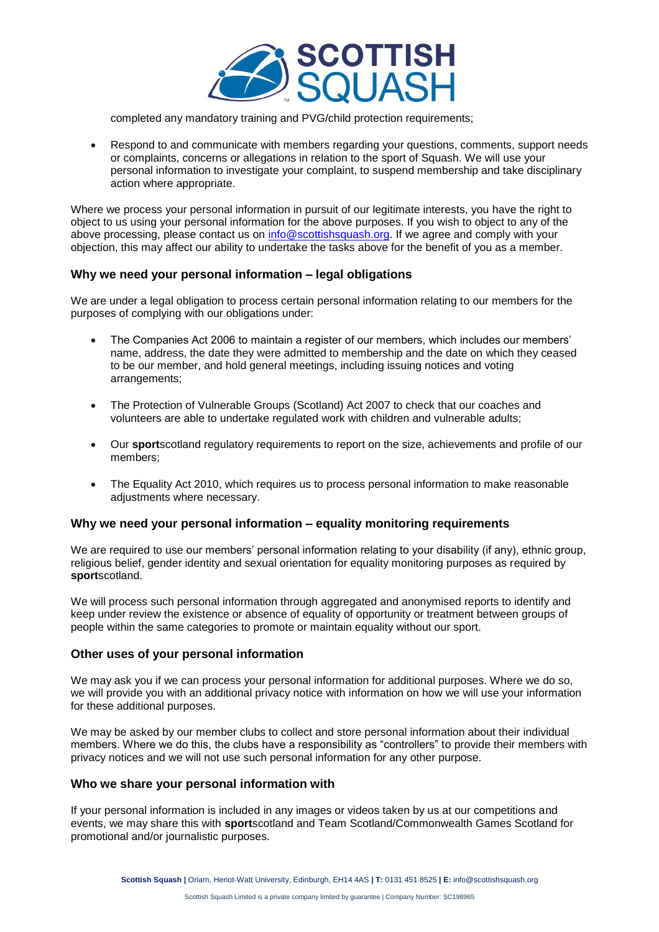

completed any mandatory training and PVG/child protection requirements;

• Respond to and communicate with members regarding your questions, comments, support needs or complaints, concerns or allegations in relation to the sport of Squash. We will use your personal information to investigate your complaint, to suspend membership and take disciplinary action where appropriate.

Where we process your personal information in pursuit of our legitimate interests, you have the right to object to us using your personal information for the above purposes. If you wish to object to any of the above processing, please contact us on [info@scottishsquash.org.](mailto:info@scottishsquash.org) If we agree and comply with your objection, this may affect our ability to undertake the tasks above for the benefit of you as a member.

#### **Why we need your personal information – legal obligations**

We are under a legal obligation to process certain personal information relating to our members for the purposes of complying with our obligations under:

- The Companies Act 2006 to maintain a register of our members, which includes our members' name, address, the date they were admitted to membership and the date on which they ceased to be our member, and hold general meetings, including issuing notices and voting arrangements;
- The Protection of Vulnerable Groups (Scotland) Act 2007 to check that our coaches and volunteers are able to undertake regulated work with children and vulnerable adults;
- Our **sport**scotland regulatory requirements to report on the size, achievements and profile of our members;
- The Equality Act 2010, which requires us to process personal information to make reasonable adjustments where necessary.

#### **Why we need your personal information – equality monitoring requirements**

We are required to use our members' personal information relating to your disability (if any), ethnic group, religious belief, gender identity and sexual orientation for equality monitoring purposes as required by **sport**scotland.

We will process such personal information through aggregated and anonymised reports to identify and keep under review the existence or absence of equality of opportunity or treatment between groups of people within the same categories to promote or maintain equality without our sport.

#### **Other uses of your personal information**

We may ask you if we can process your personal information for additional purposes. Where we do so, we will provide you with an additional privacy notice with information on how we will use your information for these additional purposes.

We may be asked by our member clubs to collect and store personal information about their individual members. Where we do this, the clubs have a responsibility as "controllers" to provide their members with privacy notices and we will not use such personal information for any other purpose.

#### **Who we share your personal information with**

If your personal information is included in any images or videos taken by us at our competitions and events, we may share this with **sport**scotland and Team Scotland/Commonwealth Games Scotland for promotional and/or journalistic purposes.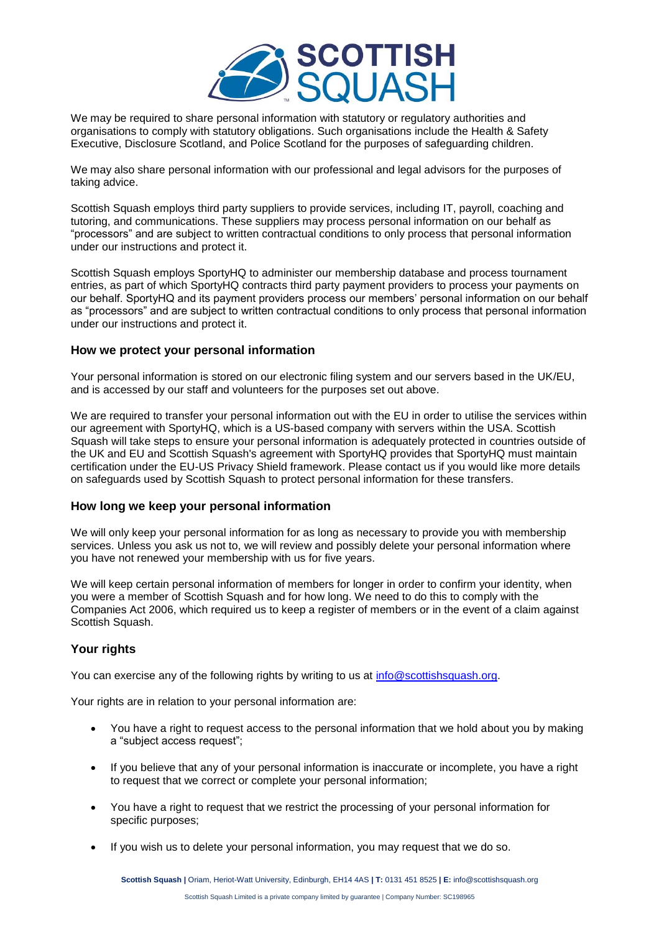

We may be required to share personal information with statutory or regulatory authorities and organisations to comply with statutory obligations. Such organisations include the Health & Safety Executive, Disclosure Scotland, and Police Scotland for the purposes of safeguarding children.

We may also share personal information with our professional and legal advisors for the purposes of taking advice.

Scottish Squash employs third party suppliers to provide services, including IT, payroll, coaching and tutoring, and communications. These suppliers may process personal information on our behalf as "processors" and are subject to written contractual conditions to only process that personal information under our instructions and protect it.

Scottish Squash employs SportyHQ to administer our membership database and process tournament entries, as part of which SportyHQ contracts third party payment providers to process your payments on our behalf. SportyHQ and its payment providers process our members' personal information on our behalf as "processors" and are subject to written contractual conditions to only process that personal information under our instructions and protect it.

#### **How we protect your personal information**

Your personal information is stored on our electronic filing system and our servers based in the UK/EU, and is accessed by our staff and volunteers for the purposes set out above.

We are required to transfer your personal information out with the EU in order to utilise the services within our agreement with SportyHQ, which is a US-based company with servers within the USA. Scottish Squash will take steps to ensure your personal information is adequately protected in countries outside of the UK and EU and Scottish Squash's agreement with SportyHQ provides that SportyHQ must maintain certification under the EU-US Privacy Shield framework. Please contact us if you would like more details on safeguards used by Scottish Squash to protect personal information for these transfers.

#### **How long we keep your personal information**

We will only keep your personal information for as long as necessary to provide you with membership services. Unless you ask us not to, we will review and possibly delete your personal information where you have not renewed your membership with us for five years.

We will keep certain personal information of members for longer in order to confirm your identity, when you were a member of Scottish Squash and for how long. We need to do this to comply with the Companies Act 2006, which required us to keep a register of members or in the event of a claim against Scottish Squash.

## **Your rights**

You can exercise any of the following rights by writing to us at [info@scottishsquash.org.](mailto:info@scottishsquash.org)

Your rights are in relation to your personal information are:

- You have a right to request access to the personal information that we hold about you by making a "subject access request";
- If you believe that any of your personal information is inaccurate or incomplete, you have a right to request that we correct or complete your personal information;
- You have a right to request that we restrict the processing of your personal information for specific purposes;
- If you wish us to delete your personal information, you may request that we do so.

**Scottish Squash |** Oriam, Heriot-Watt University, Edinburgh, EH14 4AS **| T:** 0131 451 8525 **| E:** info@scottishsquash.org